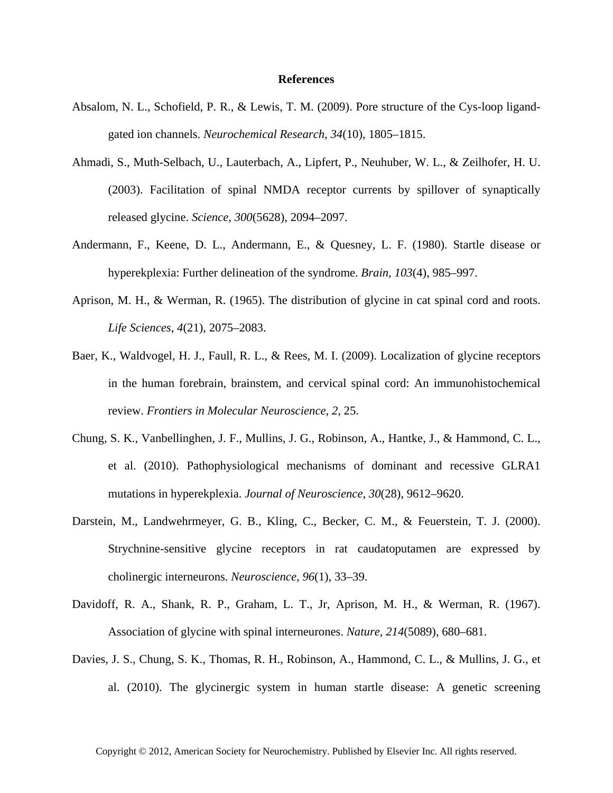## **References**

- Absalom, N. L., Schofield, P. R., & Lewis, T. M. (2009). Pore structure of the Cys-loop ligandgated ion channels. *Neurochemical Research*, *34*(10), 1805–1815.
- Ahmadi, S., Muth-Selbach, U., Lauterbach, A., Lipfert, P., Neuhuber, W. L., & Zeilhofer, H. U. (2003). Facilitation of spinal NMDA receptor currents by spillover of synaptically released glycine. *Science*, *300*(5628), 2094–2097.
- Andermann, F., Keene, D. L., Andermann, E., & Quesney, L. F. (1980). Startle disease or hyperekplexia: Further delineation of the syndrome. *Brain*, *103*(4), 985–997.
- Aprison, M. H., & Werman, R. (1965). The distribution of glycine in cat spinal cord and roots. *Life Sciences*, *4*(21), 2075–2083.
- Baer, K., Waldvogel, H. J., Faull, R. L., & Rees, M. I. (2009). Localization of glycine receptors in the human forebrain, brainstem, and cervical spinal cord: An immunohistochemical review. *Frontiers in Molecular Neuroscience*, *2*, 25.
- Chung, S. K., Vanbellinghen, J. F., Mullins, J. G., Robinson, A., Hantke, J., & Hammond, C. L., et al. (2010). Pathophysiological mechanisms of dominant and recessive GLRA1 mutations in hyperekplexia. *Journal of Neuroscience*, *30*(28), 9612–9620.
- Darstein, M., Landwehrmeyer, G. B., Kling, C., Becker, C. M., & Feuerstein, T. J. (2000). Strychnine-sensitive glycine receptors in rat caudatoputamen are expressed by cholinergic interneurons. *Neuroscience*, *96*(1), 33–39.
- Davidoff, R. A., Shank, R. P., Graham, L. T., Jr, Aprison, M. H., & Werman, R. (1967). Association of glycine with spinal interneurones. *Nature*, *214*(5089), 680–681.
- Davies, J. S., Chung, S. K., Thomas, R. H., Robinson, A., Hammond, C. L., & Mullins, J. G., et al. (2010). The glycinergic system in human startle disease: A genetic screening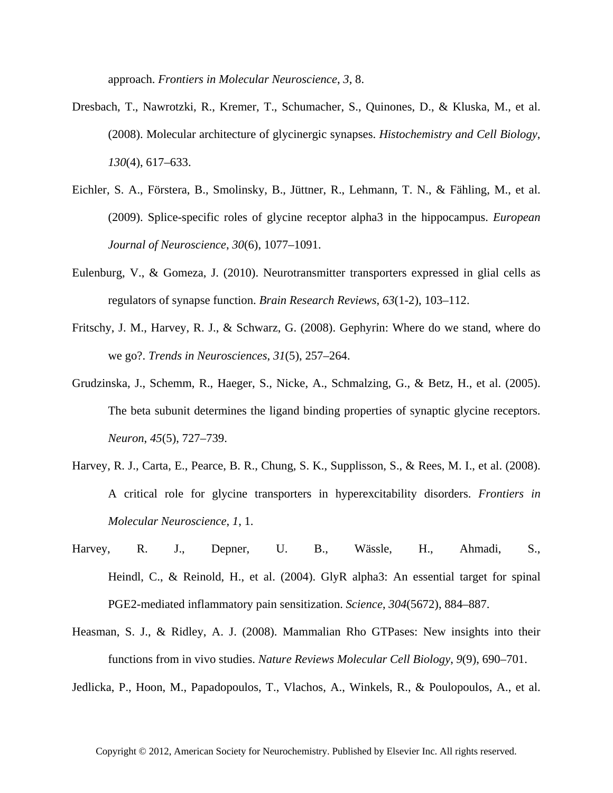approach. *Frontiers in Molecular Neuroscience*, *3*, 8.

- Dresbach, T., Nawrotzki, R., Kremer, T., Schumacher, S., Quinones, D., & Kluska, M., et al. (2008). Molecular architecture of glycinergic synapses. *Histochemistry and Cell Biology*, *130*(4), 617–633.
- Eichler, S. A., Förstera, B., Smolinsky, B., Jüttner, R., Lehmann, T. N., & Fähling, M., et al. (2009). Splice-specific roles of glycine receptor alpha3 in the hippocampus. *European Journal of Neuroscience*, *30*(6), 1077–1091.
- Eulenburg, V., & Gomeza, J. (2010). Neurotransmitter transporters expressed in glial cells as regulators of synapse function. *Brain Research Reviews*, *63*(1-2), 103–112.
- Fritschy, J. M., Harvey, R. J., & Schwarz, G. (2008). Gephyrin: Where do we stand, where do we go?. *Trends in Neurosciences*, *31*(5), 257–264.
- Grudzinska, J., Schemm, R., Haeger, S., Nicke, A., Schmalzing, G., & Betz, H., et al. (2005). The beta subunit determines the ligand binding properties of synaptic glycine receptors. *Neuron*, *45*(5), 727–739.
- Harvey, R. J., Carta, E., Pearce, B. R., Chung, S. K., Supplisson, S., & Rees, M. I., et al. (2008). A critical role for glycine transporters in hyperexcitability disorders. *Frontiers in Molecular Neuroscience*, *1*, 1.
- Harvey, R. J., Depner, U. B., Wässle, H., Ahmadi, S., Heindl, C., & Reinold, H., et al. (2004). GlyR alpha3: An essential target for spinal PGE2-mediated inflammatory pain sensitization. *Science*, *304*(5672), 884–887.
- Heasman, S. J., & Ridley, A. J. (2008). Mammalian Rho GTPases: New insights into their functions from in vivo studies. *Nature Reviews Molecular Cell Biology*, *9*(9), 690–701.
- Jedlicka, P., Hoon, M., Papadopoulos, T., Vlachos, A., Winkels, R., & Poulopoulos, A., et al.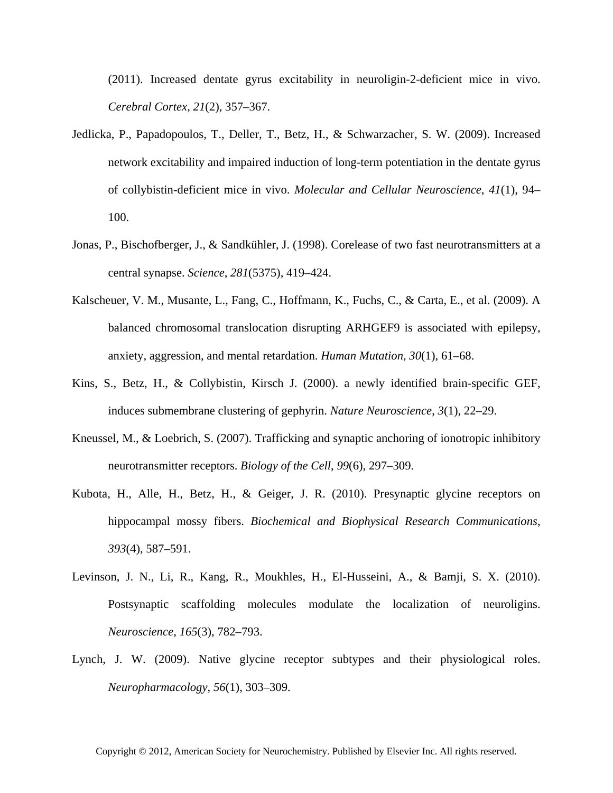(2011). Increased dentate gyrus excitability in neuroligin-2-deficient mice in vivo. *Cerebral Cortex*, *21*(2), 357–367.

- Jedlicka, P., Papadopoulos, T., Deller, T., Betz, H., & Schwarzacher, S. W. (2009). Increased network excitability and impaired induction of long-term potentiation in the dentate gyrus of collybistin-deficient mice in vivo. *Molecular and Cellular Neuroscience*, *41*(1), 94– 100.
- Jonas, P., Bischofberger, J., & Sandkühler, J. (1998). Corelease of two fast neurotransmitters at a central synapse. *Science*, *281*(5375), 419–424.
- Kalscheuer, V. M., Musante, L., Fang, C., Hoffmann, K., Fuchs, C., & Carta, E., et al. (2009). A balanced chromosomal translocation disrupting ARHGEF9 is associated with epilepsy, anxiety, aggression, and mental retardation. *Human Mutation*, *30*(1), 61–68.
- Kins, S., Betz, H., & Collybistin, Kirsch J. (2000). a newly identified brain-specific GEF, induces submembrane clustering of gephyrin. *Nature Neuroscience*, *3*(1), 22–29.
- Kneussel, M., & Loebrich, S. (2007). Trafficking and synaptic anchoring of ionotropic inhibitory neurotransmitter receptors. *Biology of the Cell*, *99*(6), 297–309.
- Kubota, H., Alle, H., Betz, H., & Geiger, J. R. (2010). Presynaptic glycine receptors on hippocampal mossy fibers. *Biochemical and Biophysical Research Communications*, *393*(4), 587–591.
- Levinson, J. N., Li, R., Kang, R., Moukhles, H., El-Husseini, A., & Bamji, S. X. (2010). Postsynaptic scaffolding molecules modulate the localization of neuroligins. *Neuroscience*, *165*(3), 782–793.
- Lynch, J. W. (2009). Native glycine receptor subtypes and their physiological roles. *Neuropharmacology*, *56*(1), 303–309.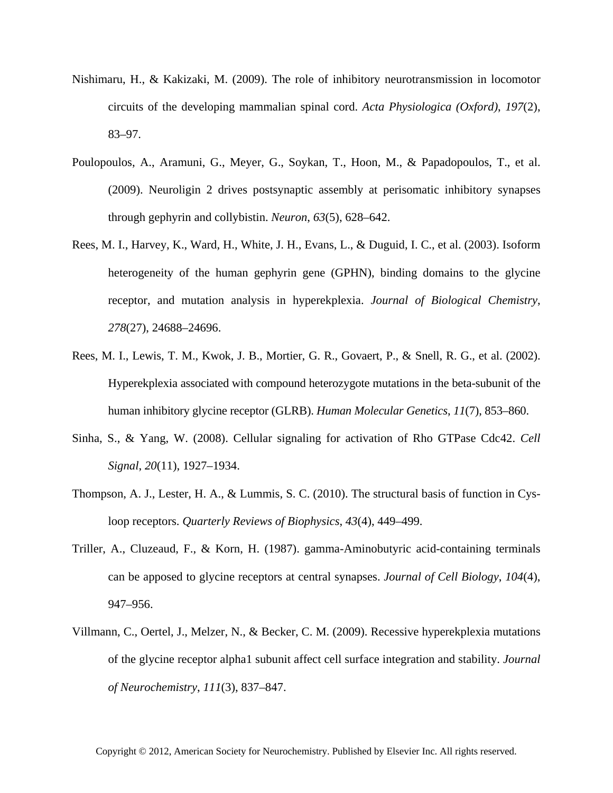- Nishimaru, H., & Kakizaki, M. (2009). The role of inhibitory neurotransmission in locomotor circuits of the developing mammalian spinal cord. *Acta Physiologica (Oxford)*, *197*(2), 83–97.
- Poulopoulos, A., Aramuni, G., Meyer, G., Soykan, T., Hoon, M., & Papadopoulos, T., et al. (2009). Neuroligin 2 drives postsynaptic assembly at perisomatic inhibitory synapses through gephyrin and collybistin. *Neuron*, *63*(5), 628–642.
- Rees, M. I., Harvey, K., Ward, H., White, J. H., Evans, L., & Duguid, I. C., et al. (2003). Isoform heterogeneity of the human gephyrin gene (GPHN), binding domains to the glycine receptor, and mutation analysis in hyperekplexia. *Journal of Biological Chemistry*, *278*(27), 24688–24696.
- Rees, M. I., Lewis, T. M., Kwok, J. B., Mortier, G. R., Govaert, P., & Snell, R. G., et al. (2002). Hyperekplexia associated with compound heterozygote mutations in the beta-subunit of the human inhibitory glycine receptor (GLRB). *Human Molecular Genetics*, *11*(7), 853–860.
- Sinha, S., & Yang, W. (2008). Cellular signaling for activation of Rho GTPase Cdc42. *Cell Signal*, *20*(11), 1927–1934.
- Thompson, A. J., Lester, H. A., & Lummis, S. C. (2010). The structural basis of function in Cysloop receptors. *Quarterly Reviews of Biophysics*, *43*(4), 449–499.
- Triller, A., Cluzeaud, F., & Korn, H. (1987). gamma-Aminobutyric acid-containing terminals can be apposed to glycine receptors at central synapses. *Journal of Cell Biology*, *104*(4), 947–956.
- Villmann, C., Oertel, J., Melzer, N., & Becker, C. M. (2009). Recessive hyperekplexia mutations of the glycine receptor alpha1 subunit affect cell surface integration and stability. *Journal of Neurochemistry*, *111*(3), 837–847.